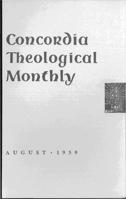# **Concordia Theological Monthly**



UGUST · 1959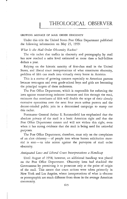#### GROWING MENACE OF MAIL ORDER OBSCENITY

Under this title the United States Post Office Department published the following information on May 25, 1959:

# *What Is the Mail Order Obscenity Racket?*

The vile racket that trafhcs in obscenity and pornography by mail has now reached a sales level estimated at more than a half-billion dollars a year.

Relying on the historic sanctity of first-class mail in the United States, and liberal court interpretations of what constitutes obscenity, peddlers of filth can reach into virtually every home in America.

This is a matter of growing concern especially to American parents because teen-agers and even grade-school boys and girls are becoming the principal targets of these racketeers.

The POSt Office Department, which is responsible for enforcing the laws against transmitting indecent literature and film through the mail, estimates that merchants of filth will double the scope of their already extensive operations over the next four years unless parents and the decent-minded public join in a determined campaign to stamp out this racket.

Postmaster General Arthur E. Summerfield has emphasized that the absolute privacy of the mail is a basic American right and that the Post Office Department cannot and will not violate this right, even when it has strong evidence that the mail is being used for unlawful purposes.

The Post Office Department, therefore, must rely on the complaints of an alert citizenry-of people into whose homes solicitation material is sent - to take action against the purveyors of mail order obscenity.

# *Antiquated Laws and Liberal Court Interpretations a Handicap*

Until August of 1958, however, an additional handicap was placed on the Post Office Department. Obscenity laws had shackled the Government by permitting it to prosecute only at the point of origin of the mail. This meant that court actions were taken primarily in New York and Los Angeles, where interpretations of what is obscene or pornographic are much different from those in the average American community.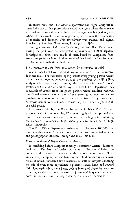In recent years, the Post Office Department had urged Congress to amend the law so that prosecutions could take place where the obscene material was received, where the actual damage was being done, and where citizens would have an opportunity to express their standards of morality and decency. This amendment was enacted, and signed into law by President Eisenhower, in August of 1958.

Taking advantage of the new legislation, the Post Office Department during the past year has completed approximately 14,000 separate investigations, almost two thirds of them based on complaints from American parents whose children received lewd solicitations for sales of obscene materials through the mails.

# *No Youngster Is Safe from Solicitation by Merchants of Filth*

A child need not have indicated any interest in this trash to receive it in the maiL The racketeers openly solicit every young person whose name they can obtain, whether through the purchase of mailing lists, study of school classbooks, or through the use of fake business "fronts." Postmaster General Summerfield says the Post Office Department has thousands of letters from indignant parents whose children received unsolicited obscene material soon after answering an advertisement to purchase some innocent item such as a baseball bat or a toy automobile, or whose names were obtained because they had joined a youth club or social group.

In a recent raid by the Postal Inspectors in New York City on just one dealer in pornography, 17 tons of highly obscene printed and filmed materials were confiscated, as well as mailing lists containing the names of thousands of high school graduates culled out of high school yearbooks.

The Post Office Department estimates that between 700,000 and a million children in American homes will receive unsolicited obscene and pornographic literature through the mails this year.

# *Postmaster General Urges Concerted Action*

In testifying before Congress recently, Postmaster General Summerfield said: "Ruthless mail order merchants in filth are violating the homes of the nation in defiance of the national government. They are callously dumping into the hands of our children, through our mail boxes at home, unordered lewd material, as well as samples soliciting the sale of even more objectionable pictures, slides, films, and related filth. Unquestionably, these large, defiant barons of obscenity are contributing to the alarming increase in juvenile delinquency, as many noted authorities have publicly observed on repeated occasions."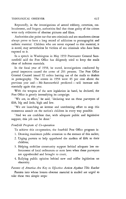#### THEOLOGICAL OBSERVER 617

Repeatedly, in the investigations of armed robbery, extortion, embezzlement, and forgery, authorities find that those guilty of the crimes were early collectors of obscene pictures and films.

Authorities also point out that sex criminals and sex murderers almost always prove to have a long record of addiction to pornographic and sadistic material. Children who are never exposed to this material, it is noted, may nevertheless be victims of sex criminals who *have* been exposed to it.

In a speech in Washington in May 1959 Postmaster General Summerfield said the Post Office has diligently tried to keep the mails clear of indecent materials.

In the fiscal year of 1958, he stated, investigations conducted by postal inspectors caused the arrest of 293 persons. The Post Office General Counsel issued 92 orders barring use of the mails to dealers in pornography. The arrests in 1958 were 45 per cent above the previous year and - Mr. Summerfield predicted - will increase substantially again this year.

With the weapon of the new legislation in hand, he declared, the Post Office is greatly intensifying its campaign.

"We are, in effect," he said, "declaring war on these purveyors of filth, big and little, high and low.

"We are launching an intense and unrelenting effort to stop this monstrous assault on the nation's children in every way possible.

"And we are confident that, with adequate public and legislative support, this job can be done."

# *Fourfold Program of Co-operation*

To achieve this co-operation, the fourfold Post Office program is:

- 1. Drawing maximum public attention to the menace of this racket;
- 2. Urging parents to help apprehend the mailers of filth to their children;
- 3. Helping mobilize community support behind adequate law enforcement of local ordinances or state laws when these purveyors are apprehended and brought to court;
- 4. Rallying public opinion behind new and stiffer legislation on obscenity.

# *Parents of America Are Key to Effective Action Against This Racket*

Parents into whose homes obscene material is mailed are urged to take these two simple steps: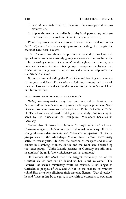- 1. Save all materials received, including the envelope and all enclosures; and
- 2. Report the matter immediately to the local postmaster, and turn the materials over to him, either in person or by mail.

Postal inspectors stand ready to take action when evidence is received anywhere that the laws applying to the mailing of pornographic material have been violated.

The Congress has shown deep concern over this problem, and special committees are currently giving it serious and purposeful study.

In increasing numbers of communities throughout the country, parents, various organizations, civic groups, newspaper publishers, and others are working together in determined efforts to help meet the racketeers' challenge.

By supporting and aiding the Post Office and backing up members of Congress and local officials who are fighting to stamp out this evil, they can look to the real success that is vital to the nation's moral fiber and future welfare.

# BRIEF ITEMS FROM RELIGIOUS NEWS SERVICE

*Bethel, Germany.* - Germany has been selected to become the "stronghold" of Islam's missionary work in Europe, a prominent West German Protestant missions leader said here. Professor Georg Vicedom of Neuendettelsau addressed 40 delegates to a study conference sponsored by the Association of Evangelical Missionary Societies in Germany.

Noting that Germany had become "a major objective" of non-Christian religions, Dr. Vicedom said individual missionary efforts of young Mohammedan students and "calculated campaigns" of Islamic groups such as the Ahmadiyya Mission have become increasingly active in recent years. He cited the erection of mosques and mission centers in Hamburg, Munich, Berlin, and the Ruhr area financed by the latter group. "While Islamic parishes in Germany are still small in number," he said, "their missionary zeal is enormous."

Dr. Vicedom also noted that "the biggest missionary era of the Christian church does not lie behind us, but is still to come." The "essence" of today's missionary work, he stressed, is no longer to Christianize peoples of Asia and Africa in the shadow of Western colonialism or to help eliminate their material distress. "Our objective," he said, "must rather be to equip, in the spirit of ecumenic co-operation,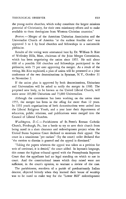the young native churches, which today constitute the largest missions potential of Christianity, for their own missionary efforts and to make available to them theologians from Western Christian countries."

Boston. - Merger of the American Unitarian Association and the Universalist Church of America "at the earliest feasible date" was approved 3 to 1 by local churches and fellowships in a nationwide plebiscite.

Results of the voting were announced here by Dr. William B. Rice of Wellesley Hills, Mass., chairman of the Joint Merger Commission, which has been negotiating the union since 1955. He said about 600 of a possible 930 churches and fellowships participated in the plebiscite, with 75 per cent approving the merger. As a result of the voting, Mr. Rice explained, a plan of union will be presented at a joint conference of the two denominations in Syracuse, N. Y., October 31 to November 2.

If the union plan is approved by both denominations, Unitarians and Universalists will be asked to ratify the merger in 1960. *The*  proposed new body, to be known as the United Liberal Church, will unite some 105,000 Unitarians and 75,000 Universalists.

Although the commission has been working on the union since 1955, the merger has been in the offing for more than 12 years. In 1953 youth organizations of both denominations were united into the Liberal Religious Youth, and a year later their departments of education, public relations, and publications were merged into the Council of Liberal Churches.

*Washington, D.C.*-Parishioners of St. Peter's Roman Catholic Church, Pittsburgh, Pa., lost a battle to try to save their church from being razed in a slum clearance and redevelopment project when the United States Supreme Court declined to entertain their appeal. The court in a unanimous "per curiam" (by the court) order declared that "the motion to dismiss is granted and the appeal is dismissed."

"Taking the papers whereon the appeal was taken as a petition for writ of certiorari, it is denied," the court added. **In** layman's language, this meant the highest tribunal agreed with the Pennsylvania Supreme Court that the appellants had no legal standing on which to sue in court. And the constitutional issues which they raised were not sufficient, in the court's opinion, to warrant a review of the case.

The parishioners, members of a parish of predominantly Italian descent, objected bitterly when they learned their house of worship was to be razed to make way for the "Lower Hill" redevelopment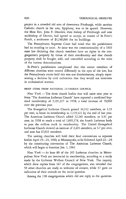project in a crowded old area of downtown Pittsburgh, while another Catholic church in the area, Epiphany, was to be spared. However, the Most Rev. John F. Dearden, then bishop of Pittsburgh and now archbishop of Detroit, had agreed to accept, as trustee of St. Peter's Parish, a settlement of \$1,240,000 for its buildings.

The Pennsylvania Supreme Court had ruled that the parishioners had no standing in court. At issue was the constitutionality of a 1935 state law declaring that church members have no rights in the congregation's property by virtue of their membership and that church property shall be bought, sold, and controlled according to the rules of the various denominations.

St. Peter's parishioners complained that this meant members of different churches were treated differently in the eyes of the law, but the Pennsylvania courts held this was not discriminatory, simply representing a decision by civil authorities that they would not intervene in ecclesiastical matters.

# BRIEF ITEMS FROM NATIONAL LUTHERAN COUNCIL

*New York.* - The three church bodies that will unite next year to form 'The American Lutheran Church" have reported a combined baptized membership of 2,191,327 in 1958, a total increase of 70,960 over the previous year.

The Evangelical Lutheran Church gained 36,312 members, or 3.35 per cent, to boost its membership to 1,119,121 by the end of last year. The American Lutheran Church added 32,245 members, or 3.31 per cent, in 1958 to reach a total of  $1,005,174$ , the fourth Lutheran body to pass the million mark in membership. The United Evangelical Lutheran Church showed an increase of 2,403 members, or 3.7 per cent, and now has 67,032 members.

The uniting churches will hold their final conventions as separate bodies April 19-21, 1960, at Minneapolis, to be followed April 22-24 by the constituting convention of The American Lutheran Church, which will begin to function Jan. 1, 1961.

*New York.-At* least 80 of the 305 Lutheran churches in Metropolitan New York are interracial in membership, according to a study made by the Lutheran Welfare Council of New York. The inquiry, which drew replies from 167 of the congregations, also revealed that 50 other churches are ready to welcome all comers, while 37 gave no indication of their attitude on the racial question.

Among the 138 congregations which did not reply to the question-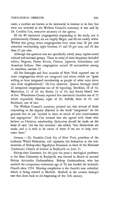naire, a number are known to be interracial in interest or in fact, but were not included in the Welfare Council's summary, it was said by Dr. Cordelia Cox, executive secretary of the agency.

Of the 80 interracial congregations responding to the study, one is predominantly Chinese, six are largely Negro, and 68 are mostly white. Within this group, seven congregations have more than 50 per cent nonwhite membership, eight between 25 and 50 per cent, and 65 less than 25 per cent.

Although the question was not specifically asked, many replies noted cultural and national groups. These in order of their frequency included whites, Negroes, Puerto Ricans, Chinese, Japanese, Indonesians, and American Indians. One congregation named 28 nationalities among its members, another 22.

All five boroughs and four counties of New York reported one or more congregations which are integrated and others which are "quite willing to have integrated membership as people of other races move into their neighborhoods," Dr. Cox observed. Queens borough listed 22 integrated congregations out of 40 reporting; Brooklyn, 16 of 32; Manhattan, 11 of 16; the Bronx, 12 of 19; and Staten Island, two of five. Westchester County reported five interracial churches out of 15 which responded; Nassau, eight of 26; Suffolk, three of 12; and Rockland, one of two.

The Welfare Council's summary pointed out that several of those responding to the inquiry objected to the word "integration" on the grounds that its use "seemed to them to smack of race consciousness and segregation." Dr. Cox stressed that she agreed with those who believe no Christian membership distinction should be made on the basis of race, "yet the fact remains," she added, "that distinctions are made, and it is well to be aware of them if we are to help overcome them."

Geneva.- Dr. Franklin Clark Fry of New York, president of the lutheran World Federation, will represent the federation at the consecration of Bishop-elect Sigurbjörn Einarsson as head of the National (lutheran) Church of Iceland in Reykjavik on June 2l.

Bishop-elect Einarsson, for the past ten years a theological professor at the State University in Reykjavik, was elected in March to succeed Bishop Asmundur Gudmundsson. Bishop Gudmundsson, who has reached the compulsory retirement age of 70, has headed the Icelandic Church since 1954. Nearing completion is the church's new cathedral, which is being erected at Skalholt. Skalholt is the ancient bishop's seat that dates back to the beginning of the 11th century.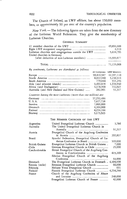The Church of Iceland, an LWF affiliate, has about 150,000 members, or approximately 90 per cent of the country's population.

*New York.* - The following figures are taken from the new directory of the Lutheran World Federation. They give the membership of Lutheran Churches.

# GENERAL SUMMARY

|                                                                      | 49.894.688 |
|----------------------------------------------------------------------|------------|
|                                                                      | 6.510      |
| Lutheran churches and congregations outside the LWF ---------------- | 5,638,793  |
| United churches in Germany                                           |            |
| (after deduction of non-Lutheran members)                            | 15,595,077 |
|                                                                      |            |

TOTAL \_\_\_\_\_\_\_\_\_\_\_\_\_\_\_\_\_\_\_\_\_\_\_\_\_\_\_\_\_\_\_\_\_\_\_\_\_\_\_\_\_\_\_\_\_\_\_\_\_\_\_\_\_\_\_\_\_\_\_\_\_\_\_\_\_\_\_\_\_\_\_\_ \_ 71,135,068

### *By continents, Lutherans are distributed as follows:*

| Dy convenents, Latherants are attributed as journed. |            |                           |
|------------------------------------------------------|------------|---------------------------|
|                                                      |            | All Lutherans LWF Members |
|                                                      | 59,416,587 | 42,397,110                |
|                                                      | 8.022.940  | 5,230,514                 |
|                                                      | 779.844    | 551.296                   |
|                                                      | 1,453,828  | 1.338.940                 |
|                                                      | 1,178,968  | 332,021                   |
| Australia (and New Zealand and New Guinea)           | 282,901    | 51,317                    |
|                                                      |            |                           |

*Countries havmg tbe most Lutherans (more than one million) are:* 

| Germany | 37,252,486 |
|---------|------------|
| U.S.A.  | 7.627.738  |
| Sweden  | 7.000.000  |
| Denmark | 4.304.000  |
| Finland | 4.234.244  |
| Norway  | 3.173.523  |

#### THE MEMBER CHURCHES OF THE LWF

| Argentina                                        | United Evangelical Lutheran Church                                                                                                                                                                                                                                          | 3,786             |
|--------------------------------------------------|-----------------------------------------------------------------------------------------------------------------------------------------------------------------------------------------------------------------------------------------------------------------------------|-------------------|
| Australia                                        | The United Evangelical Lutheran Church in                                                                                                                                                                                                                                   |                   |
|                                                  |                                                                                                                                                                                                                                                                             | 51,317            |
| Austria                                          | Evangelical Church of the Augsburg Confession                                                                                                                                                                                                                               |                   |
|                                                  |                                                                                                                                                                                                                                                                             | 392,837           |
| Brazil                                           | Synodal Federation, Evangelical Church of Lu-                                                                                                                                                                                                                               |                   |
|                                                  |                                                                                                                                                                                                                                                                             | 509,000           |
| British Guiana                                   | Evangelical Lutheran Church in British Guiana                                                                                                                                                                                                                               | 7,000             |
| Chile                                            |                                                                                                                                                                                                                                                                             | 25,000            |
| Czechoslovakia                                   | Slovak Evangelical Church of the Augsburg Con-                                                                                                                                                                                                                              |                   |
|                                                  |                                                                                                                                                                                                                                                                             | 415,269           |
|                                                  | Silesian Evangelical Church of the Augsburg                                                                                                                                                                                                                                 |                   |
|                                                  |                                                                                                                                                                                                                                                                             | 53,000            |
| Denmark                                          |                                                                                                                                                                                                                                                                             |                   |
|                                                  |                                                                                                                                                                                                                                                                             | 66,000            |
|                                                  |                                                                                                                                                                                                                                                                             | 631               |
|                                                  |                                                                                                                                                                                                                                                                             |                   |
|                                                  |                                                                                                                                                                                                                                                                             |                   |
|                                                  |                                                                                                                                                                                                                                                                             |                   |
|                                                  |                                                                                                                                                                                                                                                                             |                   |
| Estonia (exile)<br>Ethiopia<br>Finland<br>France | The Evangelical Lutheran Church in Denmark - 4,304,000<br>Estonian Evangelical Lutheran Church<br>Mekane Yesus Evangelical Church<br>Finnish Evangelical Lutheran Church  4,234,244<br>Church of the Augsburg Confession of Alsace<br>Evangelical Lutheran Church of France | 240,000<br>42,000 |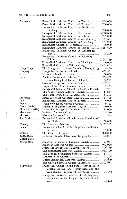$\hat{\boldsymbol{\beta}}$ 

 $\frac{3}{4}$ 

| Germany           | Evangelical Lutheran Church in Bavaria _______ 2,469,000 |           |
|-------------------|----------------------------------------------------------|-----------|
|                   | Evangelical Lutheran Church of Brunswick                 | 700,000   |
|                   | Evangelical Lutheran Church in the State of              |           |
|                   |                                                          | 790,000   |
|                   | Evangelical Lutheran Church of Hannover                  | 3,770,000 |
|                   | Evangelical Lutheran Church in Lübeck                    | 205,000   |
|                   | Evangelical Lutheran Church of Mecklenburg               | 1,144,651 |
|                   | Evangelical Lutheran Church in Oldenburg                 | 543,000   |
|                   | Evangelical Church of Pomerania                          | 700,000   |
|                   | Evangelical Lutheran Church of Saxony ______ 4,413,699   |           |
|                   | Evangelical Lutheran Church of Schaumburg-               |           |
|                   |                                                          | 75,240    |
|                   | Evangelical Lutheran Church of Schleswig-                |           |
|                   |                                                          |           |
|                   | Evangelical Lutheran Church in Thuringia __ 1,800,000    |           |
|                   | Evangelical Church in Württemberg  2,400,000             |           |
| Hong Kong         | The Evangelical Lutheran Church of Hong Kong             | 4,800     |
| Hungary           |                                                          | 432,961   |
| Iceland           |                                                          | 150,000   |
| India             | Andhra Evangelical Lutheran Church                       | 254,462   |
|                   |                                                          | 34,957    |
|                   | Northern Evangelical Lutheran Church                     |           |
|                   | Gossner Evangelical Lutheran Church                      | 209,371   |
|                   |                                                          | 35,743    |
|                   | Evangelical Lutheran Church in Madhya Pradesh            | 4,971     |
|                   | The South Andhra Lutheran Church                         | 13,854    |
|                   |                                                          | 54,222    |
| Indonesia         |                                                          | 717,398   |
| Italy             | Evangelical Lutheran Church in Italy __________          | 6,000     |
| Japan             | Japan Evangelical Lutheran Church                        | 9,162     |
| Latvia (exile)    | Latvian Evangelical Lutheran Church                      | 120,000   |
| Lithuania (exile) | Lithuanian Evangelical Lutheran Church                   | 12,000    |
| Madagascar        |                                                          | 208,526   |
| Mexico            |                                                          | 858       |
| The Netherlands   | Evangelical Lutheran Church in the Kingdom of            |           |
|                   |                                                          | 60,000    |
| Norway            |                                                          |           |
| Poland            | Evangelical Church of the Augsburg Confession            |           |
|                   |                                                          | 125,000   |
| Sweden            |                                                          |           |
| Tanganyika        | Lutheran Church of Northern Tanganyika                   | 122,864   |
| United States     |                                                          |           |
| and Canada        | American Evangelical Lutheran Church                     | 23,043    |
|                   |                                                          | 972,929   |
|                   | Augustana Evangelical Lutheran Church                    | 576,189   |
|                   |                                                          | 1,082,809 |
|                   | The Finnish Evangelical Lutheran Church                  | 37,142    |
|                   |                                                          | 77,304    |
|                   | United Evangelical Lutheran Church ______________        | 64,629    |
|                   | The United Lutheran Church in America                    | 2,395,611 |
| Yugoslavia        | Evangelical Church in the Peoples' Republics of          |           |
|                   | Croatia, Bosnia, and Herzegovina and the                 |           |
|                   | Autonomous Province of Vojvodina                         | 11,150    |
|                   | Evangelical Christian Church of the Augsburg             |           |
|                   |                                                          |           |
|                   | Confession in the People's Republic of Slo-              |           |
|                   |                                                          | 23,478    |